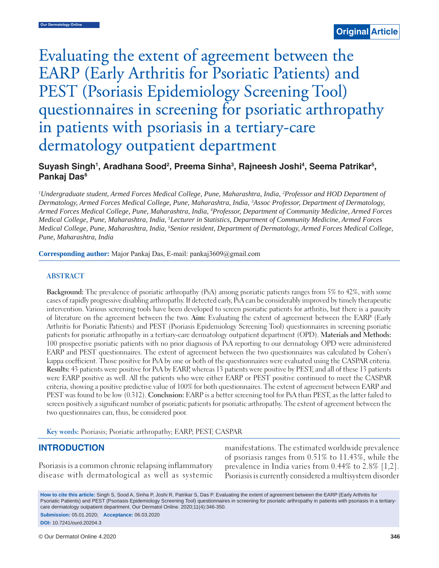# Evaluating the extent of agreement between the EARP (Early Arthritis for Psoriatic Patients) and PEST (Psoriasis Epidemiology Screening Tool) questionnaires in screening for psoriatic arthropathy in patients with psoriasis in a tertiary-care dermatology outpatient department

## Suyash Singh<sup>1</sup>, Aradhana Sood<sup>2</sup>, Preema Sinha<sup>3</sup>, Rajneesh Joshi<sup>4</sup>, Seema Patrikar<sup>5</sup>, **Pankaj Das6**

<sup>1</sup>Undergraduate student, Armed Forces Medical College, Pune, Maharashtra, India, <sup>2</sup>Professor and HOD Department of *Dermatology, Armed Forces Medical College, Pune, Maharashtra, India, 3 Assoc Professor, Department of Dermatology, Armed Forces Medical College, Pune, Maharashtra, India, 4 Professor, Department of Community Medicine, Armed Forces Medical College, Pune, Maharashtra, India, 5 Lecturer in Statistics, Department of Community Medicine, Armed Forces Medical College, Pune, Maharashtra, India, 6 Senior resident, Department of Dermatology, Armed Forces Medical College, Pune, Maharashtra, India*

**Corresponding author:** Major Pankaj Das, E-mail: pankaj3609@gmail.com

#### **ABSTRACT**

**Background:** The prevalence of psoriatic arthropathy (PsA) among psoriatic patients ranges from 5% to 42%, with some cases of rapidly progressive disabling arthropathy. If detected early, PsA can be considerably improved by timely therapeutic intervention. Various screening tools have been developed to screen psoriatic patients for arthritis, but there is a paucity of literature on the agreement between the two. **Aim:** Evaluating the extent of agreement between the EARP (Early Arthritis for Psoriatic Patients) and PEST (Psoriasis Epidemiology Screening Tool) questionnaires in screening psoriatic patients for psoriatic arthropathy in a tertiary-care dermatology outpatient department (OPD). **Materials and Methods:** 100 prospective psoriatic patients with no prior diagnosis of PsA reporting to our dermatology OPD were administered EARP and PEST questionnaires. The extent of agreement between the two questionnaires was calculated by Cohen's kappa coefficient. Those positive for PsA by one or both of the questionnaires were evaluated using the CASPAR criteria. **Results:** 43 patients were positive for PsA by EARP, whereas 13 patients were positive by PEST; and all of these 13 patients were EARP positive as well. All the patients who were either EARP or PEST positive continued to meet the CASPAR criteria, showing a positive predictive value of 100% for both questionnaires. The extent of agreement between EARP and PEST was found to be low (0.312). **Conclusion:** EARP is a better screening tool for PsA than PEST, as the latter failed to screen positively a significant number of psoriatic patients for psoriatic arthropathy. The extent of agreement between the two questionnaires can, thus, be considered poor.

**Key words:** Psoriasis; Psoriatic arthropathy; EARP; PEST; CASPAR

#### **INTRODUCTION**

Psoriasis is a common chronic relapsing inflammatory disease with dermatological as well as systemic manifestations. The estimated worldwide prevalence of psoriasis ranges from 0.51% to 11.43%, while the prevalence in India varies from 0.44% to 2.8% [1,2]. Psoriasis is currently considered a multisystem disorder

**How to cite this article:** Singh S, Sood A, Sinha P, Joshi R, Patrikar S, Das P. Evaluating the extent of agreement between the EARP (Early Arthritis for Psoriatic Patients) and PEST (Psoriasis Epidemiology Screening Tool) questionnaires in screening for psoriatic arthropathy in patients with psoriasis in a tertiarycare dermatology outpatient department. Our Dermatol Online. 2020;11(4):346-350.

**Submission:** 05.01.2020; **Acceptance:** 06.03.2020 **DOI:** 10.7241/ourd.20204.3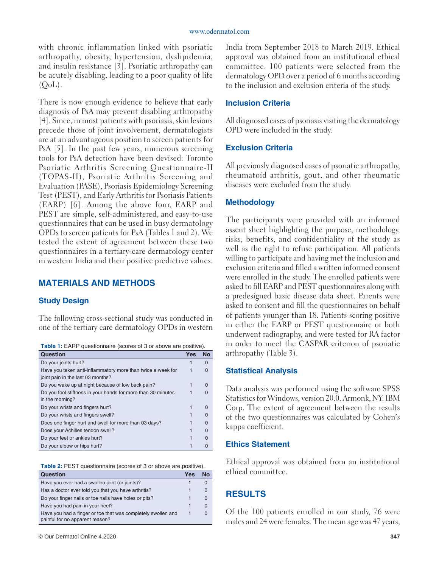with chronic inflammation linked with psoriatic arthropathy, obesity, hypertension, dyslipidemia, and insulin resistance [3]. Psoriatic arthropathy can be acutely disabling, leading to a poor quality of life  $(OoL)$ .

There is now enough evidence to believe that early diagnosis of PsA may prevent disabling arthropathy [4]. Since, in most patients with psoriasis, skin lesions precede those of joint involvement, dermatologists are at an advantageous position to screen patients for PsA [5]. In the past few years, numerous screening tools for PsA detection have been devised: Toronto Psoriatic Arthritis Screening Questionnaire-II (TOPAS-II), Psoriatic Arthritis Screening and Evaluation (PASE), Psoriasis Epidemiology Screening Test (PEST), and Early Arthritis for Psoriasis Patients (EARP) [6]. Among the above four, EARP and PEST are simple, self-administered, and easy-to-use questionnaires that can be used in busy dermatology OPDs to screen patients for PsA (Tables 1 and 2). We tested the extent of agreement between these two questionnaires in a tertiary-care dermatology center in western India and their positive predictive values.

# **MATERIALS AND METHODS**

## **Study Design**

The following cross-sectional study was conducted in one of the tertiary care dermatology OPDs in western

|  | <b>Table 1:</b> EARP questionnaire (scores of 3 or above are positive). |
|--|-------------------------------------------------------------------------|
|--|-------------------------------------------------------------------------|

| Question                                                                                         | Yes | No       |
|--------------------------------------------------------------------------------------------------|-----|----------|
| Do your joints hurt?                                                                             |     | $\Omega$ |
| Have you taken anti-inflammatory more than twice a week for<br>joint pain in the last 03 months? |     | O        |
| Do you wake up at night because of low back pain?                                                |     | $\Omega$ |
| Do you feel stiffness in your hands for more than 30 minutes<br>in the morning?                  |     |          |
| Do your wrists and fingers hurt?                                                                 |     | U        |
| Do your wrists and fingers swell?                                                                |     | $\Omega$ |
| Does one finger hurt and swell for more than 03 days?                                            |     | $\Omega$ |
| Does your Achilles tendon swell?                                                                 |     | $\Omega$ |
| Do your feet or ankles hurt?                                                                     |     | U        |
| Do your elbow or hips hurt?                                                                      |     |          |

**Table 2:** PEST questionnaire (scores of 3 or above are positive).

| <b>Question</b>                                                                                 | Yes | N٥       |
|-------------------------------------------------------------------------------------------------|-----|----------|
| Have you ever had a swollen joint (or joints)?                                                  |     | $\Omega$ |
| Has a doctor ever told you that you have arthritis?                                             |     | O        |
| Do your finger nails or toe nails have holes or pits?                                           |     | $\Omega$ |
| Have you had pain in your heel?                                                                 |     | $\Omega$ |
| Have you had a finger or toe that was completely swollen and<br>painful for no apparent reason? |     |          |

India from September 2018 to March 2019. Ethical approval was obtained from an institutional ethical committee. 100 patients were selected from the dermatology OPD over a period of 6 months according to the inclusion and exclusion criteria of the study.

#### **Inclusion Criteria**

All diagnosed cases of psoriasis visiting the dermatology OPD were included in the study.

## **Exclusion Criteria**

All previously diagnosed cases of psoriatic arthropathy, rheumatoid arthritis, gout, and other rheumatic diseases were excluded from the study.

#### **Methodology**

The participants were provided with an informed assent sheet highlighting the purpose, methodology, risks, benefits, and confidentiality of the study as well as the right to refuse participation. All patients willing to participate and having met the inclusion and exclusion criteria and filled a written informed consent were enrolled in the study. The enrolled patients were asked to fill EARP and PEST questionnaires along with a predesigned basic disease data sheet. Parents were asked to consent and fill the questionnaires on behalf of patients younger than 18. Patients scoring positive in either the EARP or PEST questionnaire or both underwent radiography, and were tested for RA factor in order to meet the CASPAR criterion of psoriatic arthropathy (Table 3).

#### **Statistical Analysis**

Data analysis was performed using the software SPSS Statistics for Windows, version 20.0. Armonk, NY: IBM Corp. The extent of agreement between the results of the two questionnaires was calculated by Cohen's kappa coefficient.

## **Ethics Statement**

Ethical approval was obtained from an institutional ethical committee.

## **RESULTS**

Of the 100 patients enrolled in our study, 76 were males and 24 were females. The mean age was 47 years,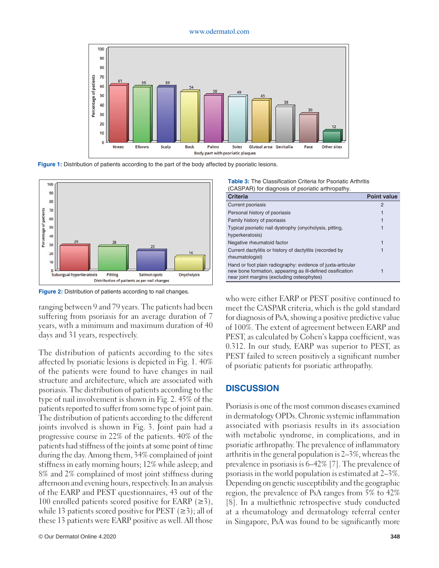#### www.odermatol.com



**Figure 1:** Distribution of patients according to the part of the body affected by psoriatic lesions.



**Figure 2:** Distribution of patients according to nail changes.

ranging between 9 and 79 years. The patients had been suffering from psoriasis for an average duration of 7 years, with a minimum and maximum duration of 40 days and 31 years, respectively.

The distribution of patients according to the sites affected by psoriatic lesions is depicted in Fig. 1. 40% of the patients were found to have changes in nail structure and architecture, which are associated with psoriasis. The distribution of patients according to the type of nail involvement is shown in Fig. 2. 45% of the patients reported to suffer from some type of joint pain. The distribution of patients according to the different joints involved is shown in Fig. 3. Joint pain had a progressive course in 22% of the patients. 40% of the patients had stiffness of the joints at some point of time during the day. Among them, 34% complained of joint stiffness in early morning hours; 12% while asleep; and 8% and 2% complained of most joint stiffness during afternoon and evening hours, respectively. In an analysis of the EARP and PEST questionnaires, 43 out of the 100 enrolled patients scored positive for EARP  $(\geq 3)$ , while 13 patients scored positive for PEST  $(\geq 3)$ ; all of these 13 patients were EARP positive as well. All those

|                                                  | <b>Table 3:</b> The Classification Criteria for Psoriatic Arthritis |
|--------------------------------------------------|---------------------------------------------------------------------|
| (CASPAR) for diagnosis of psoriatic arthropathy. |                                                                     |

| Criteria                                                                                                                                                               | <b>Point value</b> |
|------------------------------------------------------------------------------------------------------------------------------------------------------------------------|--------------------|
| <b>Current psoriasis</b>                                                                                                                                               | $\mathcal{P}$      |
| Personal history of psoriasis                                                                                                                                          |                    |
| Family history of psoriasis                                                                                                                                            |                    |
| Typical psoriatic nail dystrophy (onycholysis, pitting,                                                                                                                |                    |
| hyperkeratosis)                                                                                                                                                        |                    |
| Negative rheumatoid factor                                                                                                                                             |                    |
| Current dactylitis or history of dactylitis (recorded by                                                                                                               |                    |
| rheumatologist)                                                                                                                                                        |                    |
| Hand or foot plain radiography: evidence of juxta-articular<br>new bone formation, appearing as ill-defined ossification<br>near joint margins (excluding osteophytes) |                    |

who were either EARP or PEST positive continued to meet the CASPAR criteria, which is the gold standard for diagnosis of PsA, showing a positive predictive value of 100%. The extent of agreement between EARP and PEST, as calculated by Cohen's kappa coefficient, was 0.312. In our study, EARP was superior to PEST, as PEST failed to screen positively a significant number of psoriatic patients for psoriatic arthropathy.

#### **DISCUSSION**

Psoriasis is one of the most common diseases examined in dermatology OPDs. Chronic systemic inflammation associated with psoriasis results in its association with metabolic syndrome, in complications, and in psoriatic arthropathy. The prevalence of inflammatory arthritis in the general population is 2–3%, whereas the prevalence in psoriasis is 6–42% [7]. The prevalence of psoriasis in the world population is estimated at 2–3%. Depending on genetic susceptibility and the geographic region, the prevalence of PsA ranges from 5% to 42% [8]. In a multiethnic retrospective study conducted at a rheumatology and dermatology referral center in Singapore, PsA was found to be significantly more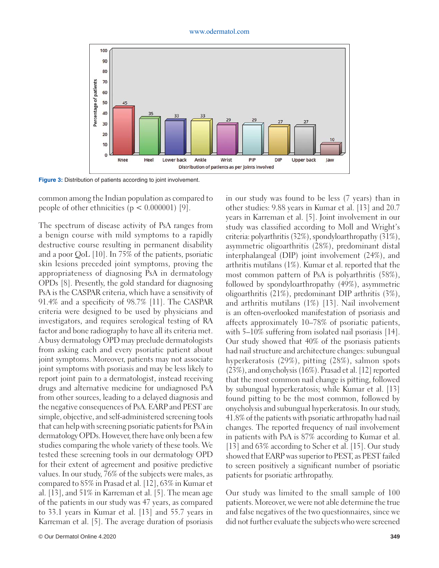

**Figure 3:** Distribution of patients according to joint involvement.

common among the Indian population as compared to people of other ethnicities  $(p < 0.000001)$  [9].

The spectrum of disease activity of PsA ranges from a benign course with mild symptoms to a rapidly destructive course resulting in permanent disability and a poor QoL [10]. In 75% of the patients, psoriatic skin lesions preceded joint symptoms, proving the appropriateness of diagnosing PsA in dermatology OPDs [8]. Presently, the gold standard for diagnosing PsA is the CASPAR criteria, which have a sensitivity of 91.4% and a specificity of 98.7% [11]. The CASPAR criteria were designed to be used by physicians and investigators, and requires serological testing of RA factor and bone radiography to have all its criteria met. A busy dermatology OPD may preclude dermatologists from asking each and every psoriatic patient about joint symptoms. Moreover, patients may not associate joint symptoms with psoriasis and may be less likely to report joint pain to a dermatologist, instead receiving drugs and alternative medicine for undiagnosed PsA from other sources, leading to a delayed diagnosis and the negative consequences of PsA. EARP and PEST are simple, objective, and self-administered screening tools that can help with screening psoriatic patients for PsA in dermatology OPDs. However, there have only been a few studies comparing the whole variety of these tools. We tested these screening tools in our dermatology OPD for their extent of agreement and positive predictive values. In our study, 76% of the subjects were males, as compared to 85% in Prasad et al. [12], 63% in Kumar et al. [13], and 51% in Karreman et al. [5]. The mean age of the patients in our study was 47 years, as compared to 33.1 years in Kumar et al. [13] and 55.7 years in Karreman et al. [5]. The average duration of psoriasis

in our study was found to be less (7 years) than in other studies: 9.88 years in Kumar et al. [13] and 20.7 years in Karreman et al. [5]. Joint involvement in our study was classified according to Moll and Wright's criteria: polyarthritis (32%), spondyloarthropathy (31%), asymmetric oligoarthritis (28%), predominant distal interphalangeal (DIP) joint involvement (24%), and arthritis mutilans (1%). Kumar et al. reported that the most common pattern of PsA is polyarthritis (58%), followed by spondyloarthropathy (49%), asymmetric oligoarthritis (21%), predominant DIP arthritis (3%), and arthritis mutilans (1%) [13]. Nail involvement is an often-overlooked manifestation of psoriasis and affects approximately 10–78% of psoriatic patients, with 5–10% suffering from isolated nail psoriasis [14]. Our study showed that 40% of the psoriasis patients had nail structure and architecture changes: subungual hyperkeratosis (29%), pitting (28%), salmon spots (23%), and onycholysis (16%). Prasad et al. [12] reported that the most common nail change is pitting, followed by subungual hyperkeratosis; while Kumar et al. [13] found pitting to be the most common, followed by onycholysis and subungual hyperkeratosis. In our study, 41.8% of the patients with psoriatic arthropathy had nail changes. The reported frequency of nail involvement in patients with PsA is 87% according to Kumar et al. [13] and 63% according to Scher et al. [15]. Our study showed that EARP was superior to PEST, as PEST failed to screen positively a significant number of psoriatic patients for psoriatic arthropathy.

Our study was limited to the small sample of 100 patients. Moreover, we were not able determine the true and false negatives of the two questionnaires, since we did not further evaluate the subjects who were screened